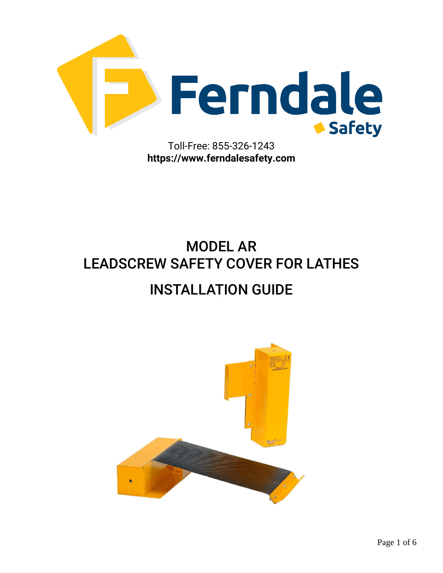

MODEL AR LEADSCREW SAFETY COVER FOR LATHES INSTALLATION GUIDE

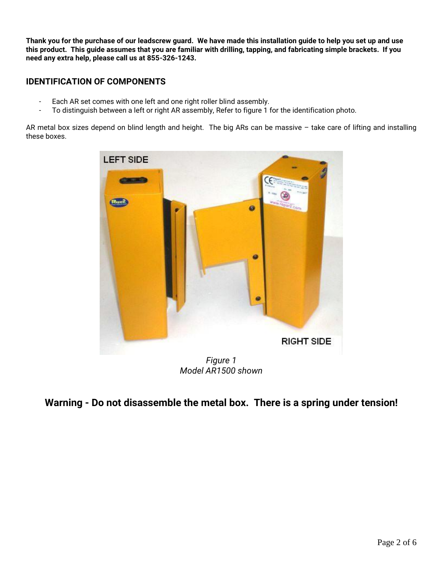**Thank you for the purchase of our leadscrew guard. We have made this installation guide to help you set up and use this product. This guide assumes that you are familiar with drilling, tapping, and fabricating simple brackets. If you need any extra help, please call us at 855-326-1243.**

## **IDENTIFICATION OF COMPONENTS**

- Each AR set comes with one left and one right roller blind assembly.
- To distinguish between a left or right AR assembly, Refer to figure 1 for the identification photo.

AR metal box sizes depend on blind length and height. The big ARs can be massive – take care of lifting and installing these boxes.



*Model AR1500 shown*

## **Warning - Do not disassemble the metal box. There is a spring under tension!**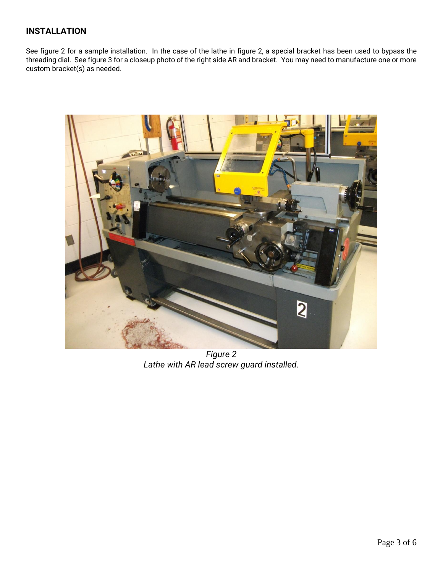## **INSTALLATION**

See figure 2 for a sample installation. In the case of the lathe in figure 2, a special bracket has been used to bypass the threading dial. See figure 3 for a closeup photo of the right side AR and bracket. You may need to manufacture one or more custom bracket(s) as needed.



*Figure 2 Lathe with AR lead screw guard installed.*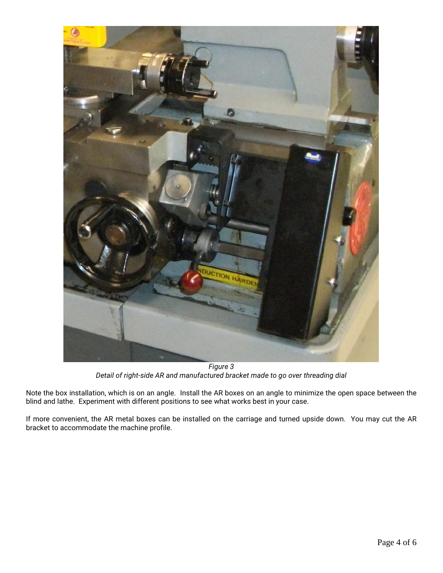

*Figure 3 Detail of right-side AR and manufactured bracket made to go over threading dial*

Note the box installation, which is on an angle. Install the AR boxes on an angle to minimize the open space between the blind and lathe. Experiment with different positions to see what works best in your case.

If more convenient, the AR metal boxes can be installed on the carriage and turned upside down. You may cut the AR bracket to accommodate the machine profile.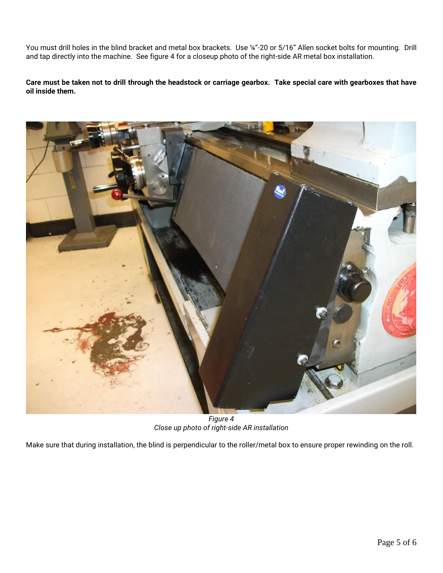You must drill holes in the blind bracket and metal box brackets. Use ¼"-20 or 5/16" Allen socket bolts for mounting. Drill and tap directly into the machine. See figure 4 for a closeup photo of the right-side AR metal box installation.

**Care must be taken not to drill through the headstock or carriage gearbox. Take special care with gearboxes that have oil inside them.**



*Figure 4 Close up photo of right-side AR installation*

Make sure that during installation, the blind is perpendicular to the roller/metal box to ensure proper rewinding on the roll.